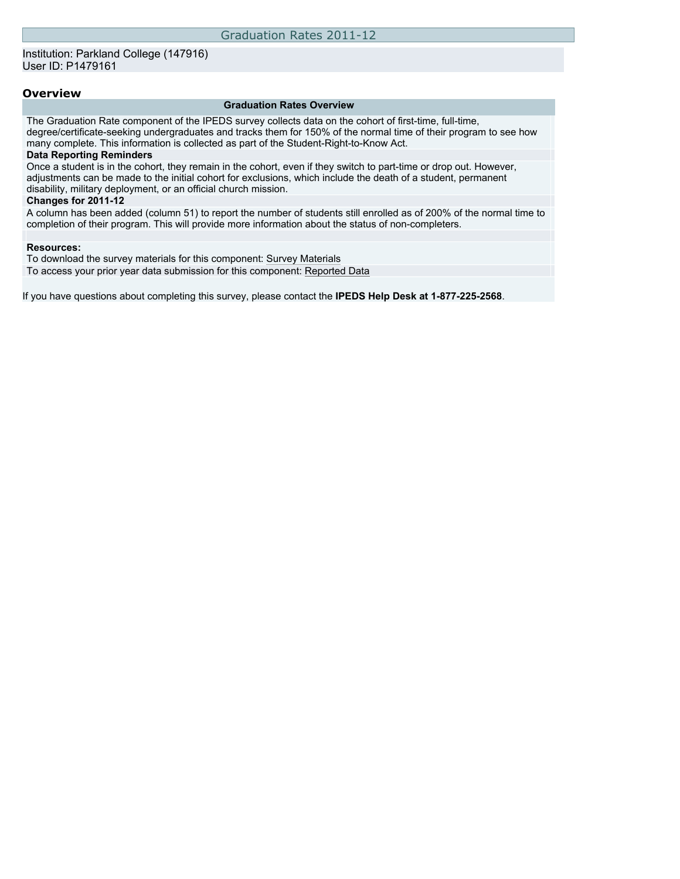## **Overview**

#### **Graduation Rates Overview**

The Graduation Rate component of the IPEDS survey collects data on the cohort of first-time, full-time, degree/certificate-seeking undergraduates and tracks them for 150% of the normal time of their program to see how many complete. This information is collected as part of the Student-Right-to-Know Act.

## **Data Reporting Reminders**

Once a student is in the cohort, they remain in the cohort, even if they switch to part-time or drop out. However, adjustments can be made to the initial cohort for exclusions, which include the death of a student, permanent disability, military deployment, or an official church mission.

#### **Changes for 2011-12**

A column has been added (column 51) to report the number of students still enrolled as of 200% of the normal time to completion of their program. This will provide more information about the status of non-completers.

### **Resources:**

To download the survey materials for this component: [Survey Materials](https://surveys.nces.ed.gov/ipeds/VisIndex.aspx)

To access your prior year data submission for this component: [Reported Data](https://surveys.nces.ed.gov/IPEDS/PriorYearDataRedirect.aspx?survey_id=4)

If you have questions about completing this survey, please contact the **IPEDS Help Desk at 1-877-225-2568**.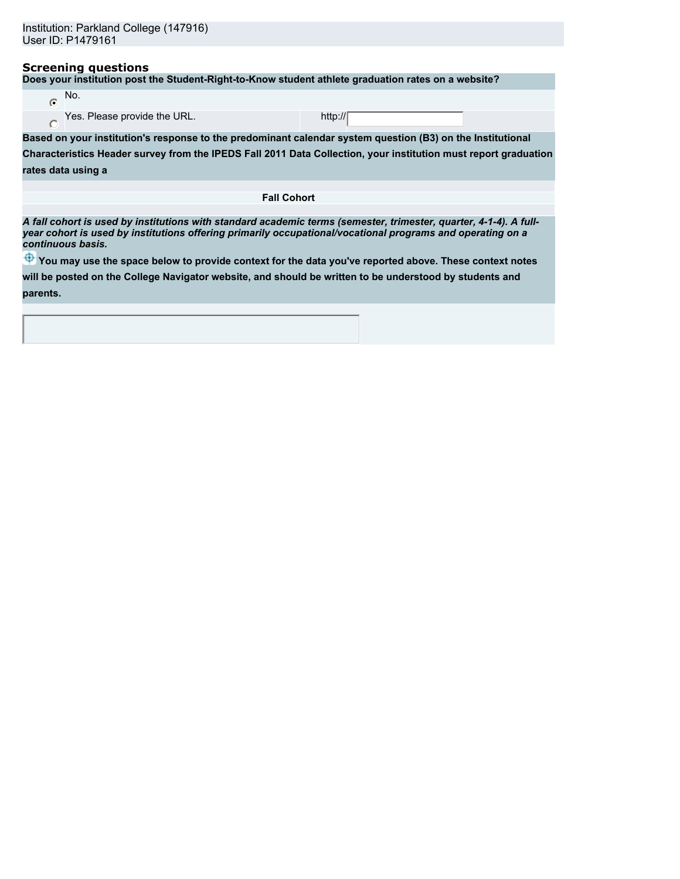## **Screening questions**

**Does your institution post the Student-Right-to-Know student athlete graduation rates on a website?**

| No.                          |                    |
|------------------------------|--------------------|
| Yes. Please provide the URL. | http:// $\sqrt{ }$ |

**Based on your institution's response to the predominant calendar system question (B3) on the Institutional Characteristics Header survey from the IPEDS Fall 2011 Data Collection, your institution must report graduation**

|  | rates data using a |  |
|--|--------------------|--|
|  |                    |  |

 $\overline{C}$ 

**Fall Cohort**

*A fall cohort is used by institutions with standard academic terms (semester, trimester, quarter, 4-1-4). A fullyear cohort is used by institutions offering primarily occupational/vocational programs and operating on a continuous basis.*

 $\bigoplus$  **You may use the space below to provide context for the data you've reported above. These context notes** 

**will be posted on the College Navigator website, and should be written to be understood by students and parents.**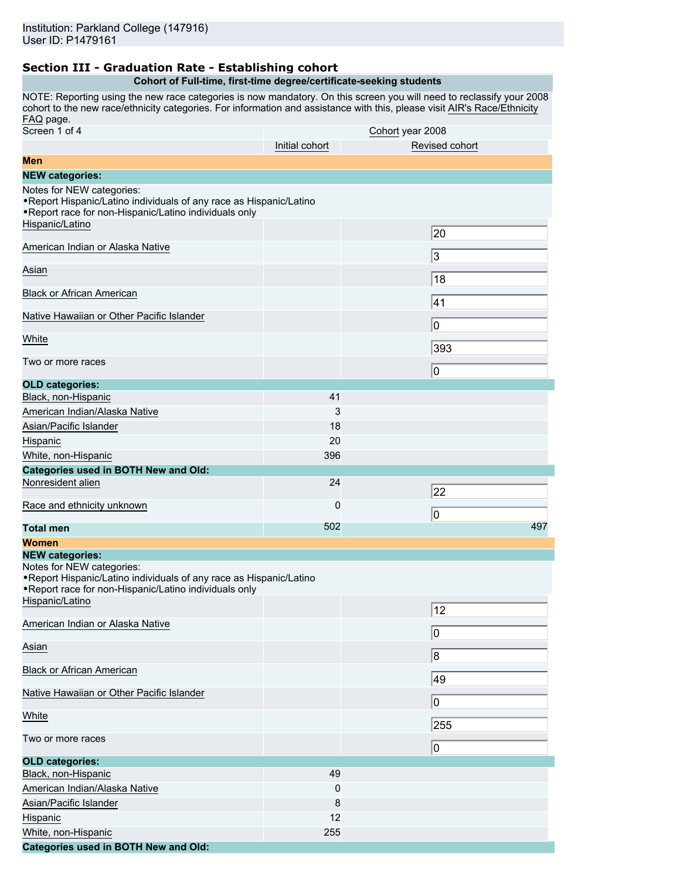# **Section III - Graduation Rate - Establishing cohort**

## **Cohort of Full-time, first-time degree/certificate-seeking students**

NOTE: Reporting using the new race categories is now mandatory. On this screen you will need to reclassify your 2008 cohort to the new race/ethnicity categories. For information and assistance with this, please visit [AIR's Race/Ethnicity](http://www.airweb.org/page.asp?page=1502) [FAQ](http://www.airweb.org/page.asp?page=1502) page.

| Screen 1 of 4                                                                                                                                                                                           |                | Cohort year 2008 |
|---------------------------------------------------------------------------------------------------------------------------------------------------------------------------------------------------------|----------------|------------------|
|                                                                                                                                                                                                         | Initial cohort | Revised cohort   |
| Men                                                                                                                                                                                                     |                |                  |
| <b>NEW categories:</b>                                                                                                                                                                                  |                |                  |
| Notes for NEW categories:<br>. Report Hispanic/Latino individuals of any race as Hispanic/Latino<br>. Report race for non-Hispanic/Latino individuals only                                              |                |                  |
| Hispanic/Latino                                                                                                                                                                                         |                | 20               |
| American Indian or Alaska Native                                                                                                                                                                        |                | 3                |
| Asian                                                                                                                                                                                                   |                | 18               |
| <b>Black or African American</b>                                                                                                                                                                        |                | 41               |
| Native Hawaiian or Other Pacific Islander                                                                                                                                                               |                | 0                |
| White                                                                                                                                                                                                   |                | 393              |
| Two or more races                                                                                                                                                                                       |                | 0                |
| <b>OLD categories:</b>                                                                                                                                                                                  |                |                  |
| Black, non-Hispanic                                                                                                                                                                                     | 41             |                  |
| American Indian/Alaska Native                                                                                                                                                                           | 3              |                  |
| Asian/Pacific Islander                                                                                                                                                                                  | 18             |                  |
| Hispanic                                                                                                                                                                                                | 20             |                  |
| White, non-Hispanic                                                                                                                                                                                     | 396            |                  |
| <b>Categories used in BOTH New and Old:</b>                                                                                                                                                             |                |                  |
| Nonresident alien                                                                                                                                                                                       | 24             | 22               |
| Race and ethnicity unknown                                                                                                                                                                              | $\mathbf 0$    | 0                |
| <b>Total men</b>                                                                                                                                                                                        | 502            | 497              |
| Women                                                                                                                                                                                                   |                |                  |
| <b>NEW categories:</b><br>Notes for NEW categories:<br>. Report Hispanic/Latino individuals of any race as Hispanic/Latino<br>. Report race for non-Hispanic/Latino individuals only<br>Hispanic/Latino |                |                  |
|                                                                                                                                                                                                         |                | 12               |
| American Indian or Alaska Native                                                                                                                                                                        |                | 0                |
| <b>Asian</b>                                                                                                                                                                                            |                | 8                |
| <b>Black or African American</b>                                                                                                                                                                        |                | 49               |
| Native Hawaiian or Other Pacific Islander                                                                                                                                                               |                | 0                |
| White                                                                                                                                                                                                   |                | 255              |
| Two or more races                                                                                                                                                                                       |                | 0                |
| <b>OLD categories:</b>                                                                                                                                                                                  |                |                  |
| Black, non-Hispanic                                                                                                                                                                                     | 49             |                  |
| American Indian/Alaska Native                                                                                                                                                                           | $\mathbf 0$    |                  |
| Asian/Pacific Islander                                                                                                                                                                                  | 8              |                  |
| Hispanic                                                                                                                                                                                                | 12             |                  |
| White, non-Hispanic                                                                                                                                                                                     | 255            |                  |
| <b>Categories used in BOTH New and Old:</b>                                                                                                                                                             |                |                  |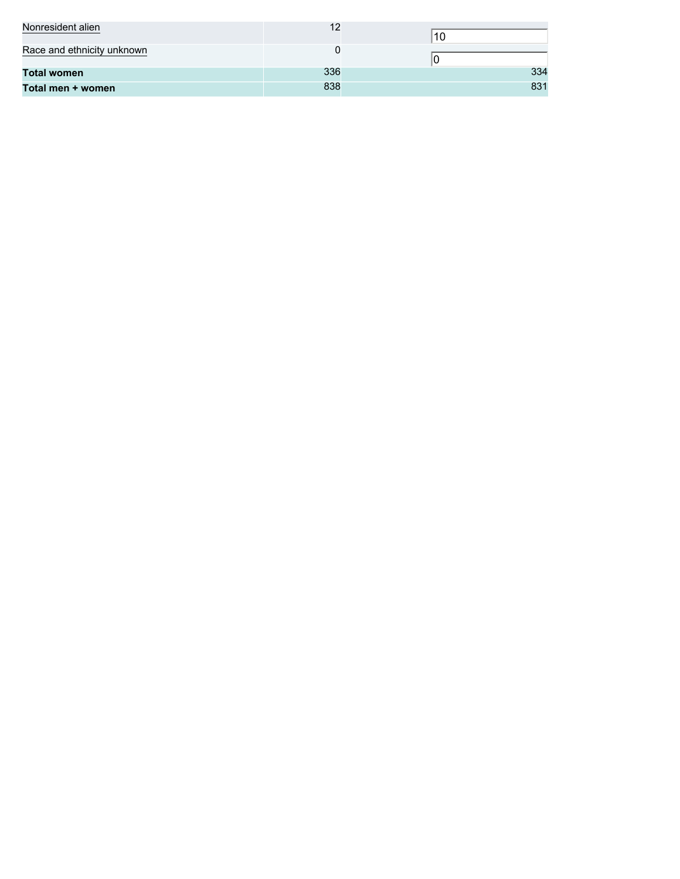| Nonresident alien          | 12  |     |
|----------------------------|-----|-----|
| Race and ethnicity unknown |     |     |
| <b>Total women</b>         | 336 | 334 |
| Total men + women          | 838 | 831 |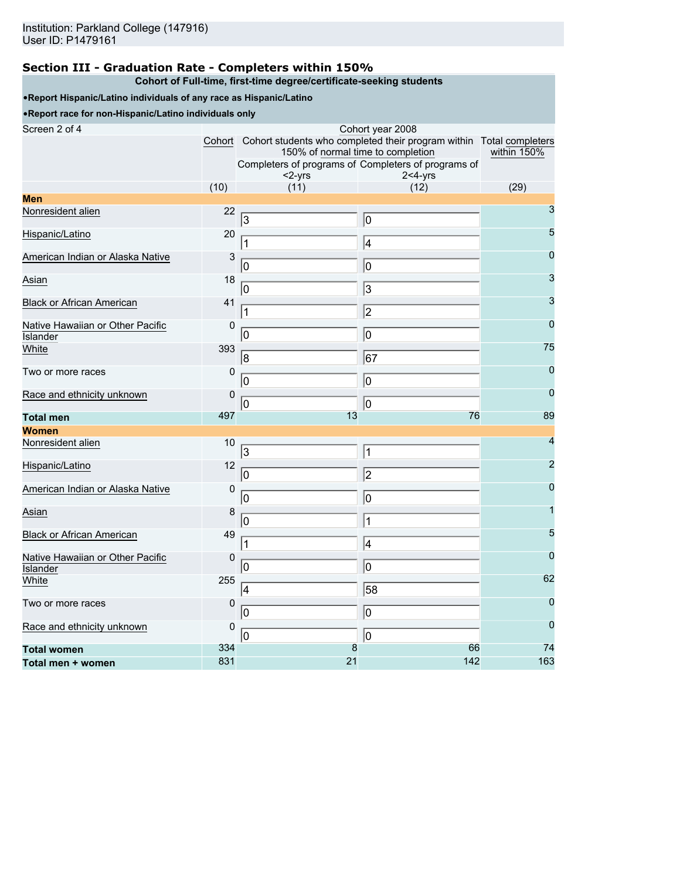# **Section III - Graduation Rate - Completers within 150%**

#### **Cohort of Full-time, first-time degree/certificate-seeking students** •**Report Hispanic/Latino individuals of any race as Hispanic/Latino** •**Report race for non-Hispanic/Latino individuals only** Screen 2 of 4 Cohort year 2008 Cohort Cohort students who completed their program within Total completers 150% of normal time to completion Completers of programs of Completers of programs of <2-yrs 2<4-yrs within 150% (10) (11) (12) (29) **Men** Nonresident alien  $22\overline{3}$   $\overline{0}$   $\overline{0}$   $3$ Hispanic/Latino 20 1 20 1 4 5 American Indian or Alaska Native 3 0 Asian 18 3 Black or African American 1991 1991 1991 1991 1991 1991 1992 1993 1994 1994 1995 1996 1997 1998 1999 1999 199<br>  $\boxed{2}$ Native Hawaiian or Other Pacific Islander  $\overline{0}$   $\overline{0}$   $\overline{0}$   $\overline{0}$   $\overline{0}$   $\overline{0}$   $\overline{0}$   $\overline{0}$   $\overline{0}$   $\overline{0}$   $\overline{0}$   $\overline{0}$   $\overline{0}$   $\overline{0}$   $\overline{0}$   $\overline{0}$   $\overline{0}$   $\overline{0}$   $\overline{0}$   $\overline{0}$   $\overline{0}$   $\overline{0}$   $\overline{0}$   $\overline{0}$   $\overline{$ ل المستقدم المستقدم المستقدم المستقدم المستقدم المستقدم المستقدم المستقدم المستقدم المستقدم المستقدم المستقدم ا Two or more races  $0\overline{0}$  0 Race and ethnicity unknown  $\begin{array}{|c|c|c|c|c|}\n\hline\n0 & 0 & 0 \\
\hline\n0 & 0 & 0\n\end{array}$ **Total men** 497 13 76 89 **Women** Nonresident alien 10 <sub>3</sub> and 10 4<sup>4</sup>  $\frac{\text{Hispanic/Latino}}{0}$  12  $\frac{1}{2}$  2 American Indian or Alaska Native 0 0 4 المسلم المسلم المسلم المسلم المسلم المسلم المسلم المسلم المسلم المسلم المسلم المسلم المسلم المسلم المسلم الم<br>المسلم المسلم المسلم المسلم المسلم المسلم المسلم المسلم المسلم المسلم المسلم المسلم المسلم المسلم المسلم المسل Black or African American 49 1 1 3 5 Native Hawaiian or Other Pacific Islander<br>White 0 <u>and 10</u> and 10 and 10 and 10 and 10 and 10 and 10 and 10 and 10 and 10 and 10 and 10 and 10 and 10 and 10 and 10 and 10 and 10 and 10 and 10 and 10 and 10 and 10 and 10 and 10 and 10 and 10 and 10 and 10 and 10 and 10 a White 255 62 Two or more races  $0\overline{0}$  0 Race and ethnicity unknown  $\begin{array}{|c|c|c|c|}\n\hline\n0 & 0 & 0 \\
\hline\n0 & 0 & 0\n\end{array}$ **Total women** 334 8 66 74 **Total men + women** 831 21 142 163 3 0 1 4 0 0 0 0 3 1  $\vert$  2 0 0 8 **67** 0 0 0 0 0 0  $3 \qquad \qquad$  1 0 2 0 0 0 | | | 1 1 4 0 0 4 58 0 0 0 0 0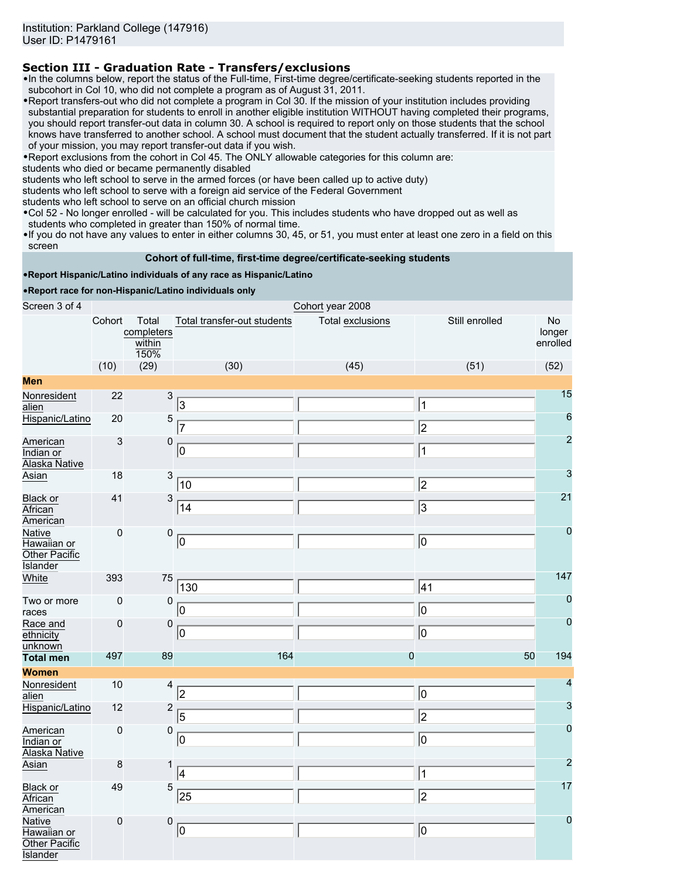# **Section III - Graduation Rate - Transfers/exclusions**

•In the columns below, report the status of the Full-time, First-time degree/certificate-seeking students reported in the subcohort in Col 10, who did not complete a program as of August 31, 2011.

•Report transfers-out who did not complete a program in Col 30. If the mission of your institution includes providing substantial preparation for students to enroll in another eligible institution WITHOUT having completed their programs, you should report transfer-out data in column 30. A school is required to report only on those students that the school knows have transferred to another school. A school must document that the student actually transferred. If it is not part of your mission, you may report transfer-out data if you wish.

•Report exclusions from the cohort in Col 45. The ONLY allowable categories for this column are:

students who died or became permanently disabled

students who left school to serve in the armed forces (or have been called up to active duty)

students who left school to serve with a foreign aid service of the Federal Government

students who left school to serve on an official church mission

•Col 52 - No longer enrolled - will be calculated for you. This includes students who have dropped out as well as students who completed in greater than 150% of normal time.

•If you do not have any values to enter in either columns 30, 45, or 51, you must enter at least one zero in a field on this screen

## **Cohort of full-time, first-time degree/certificate-seeking students**

#### •**Report Hispanic/Latino individuals of any race as Hispanic/Latino**

•**Report race for non-Hispanic/Latino individuals only**

| Screen 3 of 4                                                    | Cohort year 2008 |                                       |                             |                         |                |                                 |  |
|------------------------------------------------------------------|------------------|---------------------------------------|-----------------------------|-------------------------|----------------|---------------------------------|--|
|                                                                  | Cohort           | Total<br>completers<br>within<br>150% | Total transfer-out students | <b>Total exclusions</b> | Still enrolled | <b>No</b><br>longer<br>enrolled |  |
|                                                                  | (10)             | (29)                                  | (30)                        | (45)                    | (51)           | (52)                            |  |
| <b>Men</b>                                                       |                  |                                       |                             |                         |                |                                 |  |
| Nonresident<br>alien                                             | 22               | $\mathsf 3$                           | $\sqrt{3}$                  |                         | $\vert$ 1      | 15                              |  |
| Hispanic/Latino                                                  | 20               | $\sqrt{5}$                            | 7                           |                         | $\overline{2}$ | $6\phantom{1}6$                 |  |
| American<br>Indian or<br>Alaska Native                           | 3                | 0                                     | 0                           |                         | $\vert$ 1      | $\overline{2}$                  |  |
| Asian                                                            | 18               | $\mathbf{3}$                          | 10                          |                         | $\overline{2}$ | 3                               |  |
| Black or<br>African<br>American                                  | 41               | 3                                     | 14                          |                         | 3              | 21                              |  |
| Native<br>Hawaiian or<br>Other Pacific<br><b>Islander</b>        | 0                | $\pmb{0}$                             | ⊚                           |                         | $\overline{0}$ | $\overline{0}$                  |  |
| White                                                            | 393              | 75                                    | 130                         |                         | 41             | 147                             |  |
| Two or more<br>races                                             | 0                | 0                                     | 10                          |                         | O              | $\mathbf 0$                     |  |
| Race and<br>ethnicity<br>unknown                                 | 0                | $\pmb{0}$                             | 10                          |                         | O              | $\mathbf 0$                     |  |
| <b>Total men</b>                                                 | 497              | 89                                    | 164                         | $\bf{0}$                | 50             | 194                             |  |
| <b>Women</b>                                                     |                  |                                       |                             |                         |                |                                 |  |
| Nonresident<br>alien                                             | 10               | 4                                     | 2                           |                         | $ 0\rangle$    | 4                               |  |
| Hispanic/Latino                                                  | 12               | $\overline{c}$                        | 5                           |                         | $\overline{2}$ | 3                               |  |
| American<br>Indian or<br>Alaska Native                           | 0                | $\pmb{0}$                             | 10                          |                         | 0              | $\bf{0}$                        |  |
| Asian                                                            | 8                | 1                                     | 4                           |                         | $\vert$ 1      | $\overline{c}$                  |  |
| Black or<br>African<br>American                                  | 49               | 5                                     | 25                          |                         | 2              | 17                              |  |
| <b>Native</b><br>Hawaiian or<br>Other Pacific<br><b>Islander</b> | 0                | $\pmb{0}$                             | 10                          |                         | 10             | $\mathbf 0$                     |  |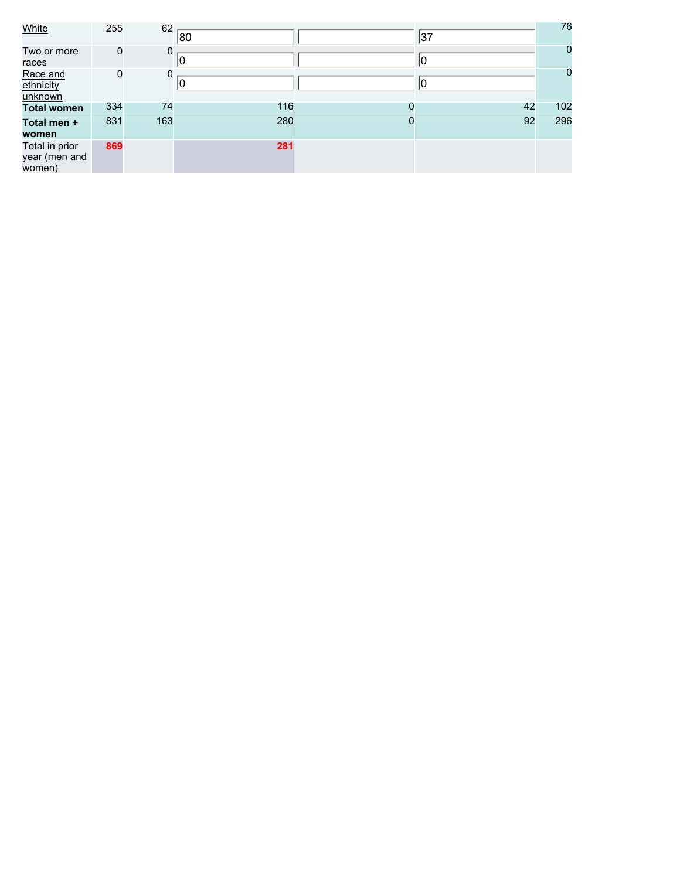| White                                     | 255         | 62  | 80  |   | 37 | 76          |
|-------------------------------------------|-------------|-----|-----|---|----|-------------|
| Two or more<br>races                      | $\mathbf 0$ | 0   |     |   | 10 | $\mathbf 0$ |
| Race and<br>ethnicity<br>unknown          | 0           | 0   | 10  |   | 10 | $\mathbf 0$ |
| <b>Total women</b>                        | 334         | 74  | 116 | 0 | 42 | 102         |
| Total men +<br>women                      | 831         | 163 | 280 | 0 | 92 | 296         |
| Total in prior<br>year (men and<br>women) | 869         |     | 281 |   |    |             |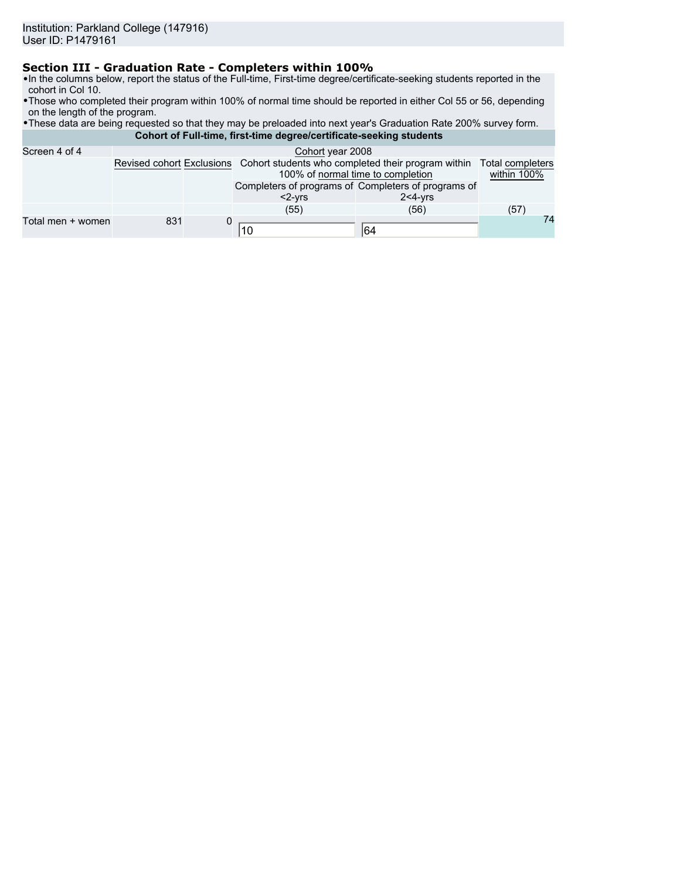# **Section III - Graduation Rate - Completers within 100%**

- •In the columns below, report the status of the Full-time, First-time degree/certificate-seeking students reported in the cohort in Col 10.
- •Those who completed their program within 100% of normal time should be reported in either Col 55 or 56, depending on the length of the program.
- •These data are being requested so that they may be preloaded into next year's Graduation Rate 200% survey form. **Cohort of Full-time, first-time degree/certificate-seeking students**

| Screen 4 of 4     | Cohort year 2008 |  |                                                                                                                   |                                        |      |  |  |
|-------------------|------------------|--|-------------------------------------------------------------------------------------------------------------------|----------------------------------------|------|--|--|
|                   |                  |  | Revised cohort Exclusions Cohort students who completed their program within<br>100% of normal time to completion | <b>Total completers</b><br>within 100% |      |  |  |
|                   |                  |  | Completers of programs of Completers of programs of<br>$<$ 2- $Vrs$                                               | $2 < 4 - vrs$                          |      |  |  |
|                   |                  |  | (55)                                                                                                              | (56)                                   | (57) |  |  |
| Total men + women | 831              |  | 10                                                                                                                | 164                                    | 74   |  |  |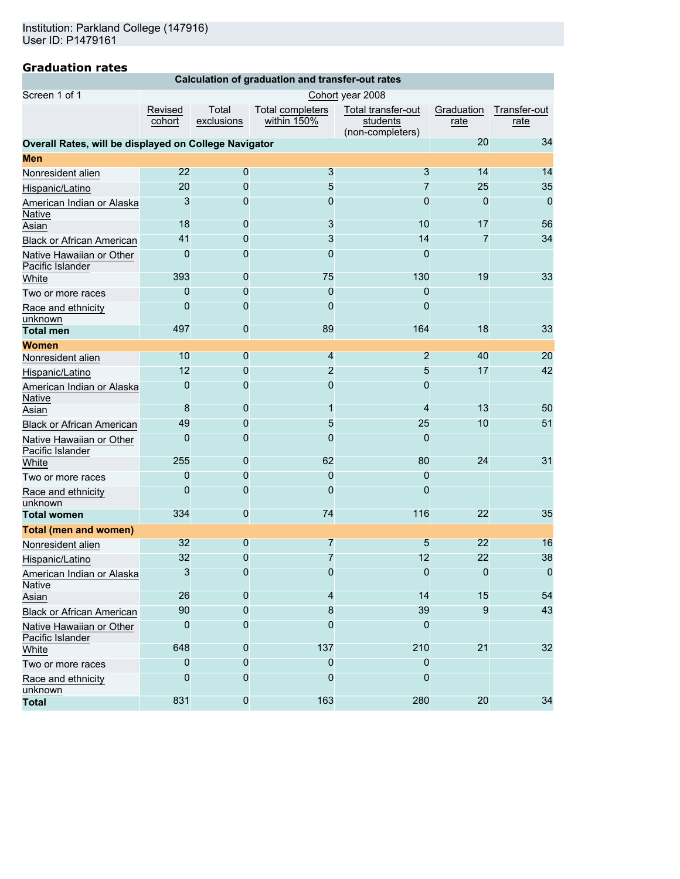| Calculation of graduation and transfer-out rates |
|--------------------------------------------------|
|--------------------------------------------------|

| Screen 1 of 1                                         | Cohort year 2008  |                     |                                        |                                                    |                    |                      |  |  |
|-------------------------------------------------------|-------------------|---------------------|----------------------------------------|----------------------------------------------------|--------------------|----------------------|--|--|
|                                                       | Revised<br>cohort | Total<br>exclusions | <b>Total completers</b><br>within 150% | Total transfer-out<br>students<br>(non-completers) | Graduation<br>rate | Transfer-out<br>rate |  |  |
| Overall Rates, will be displayed on College Navigator |                   |                     |                                        |                                                    | 20                 | 34                   |  |  |
| <b>Men</b>                                            |                   |                     |                                        |                                                    |                    |                      |  |  |
| Nonresident alien                                     | 22                | 0                   | $\overline{3}$                         | 3                                                  | 14                 | 14                   |  |  |
| Hispanic/Latino                                       | 20                | 0                   | 5                                      | 7                                                  | 25                 | 35                   |  |  |
| American Indian or Alaska<br>Native                   | 3                 | 0                   | 0                                      | $\Omega$                                           | 0                  | $\Omega$             |  |  |
| Asian                                                 | 18                | 0                   | 3                                      | 10                                                 | 17                 | 56                   |  |  |
| <b>Black or African American</b>                      | 41                | 0                   | 3                                      | 14                                                 | 7                  | 34                   |  |  |
| Native Hawaiian or Other<br>Pacific Islander          | 0                 | 0                   | $\Omega$                               | 0                                                  |                    |                      |  |  |
| White                                                 | 393               | 0                   | 75                                     | 130                                                | 19                 | 33                   |  |  |
| Two or more races                                     | 0                 | 0                   | 0                                      | 0                                                  |                    |                      |  |  |
| Race and ethnicity<br>unknown                         | 0                 | 0                   | 0                                      | 0                                                  |                    |                      |  |  |
| <b>Total men</b>                                      | 497               | $\mathbf 0$         | 89                                     | 164                                                | 18                 | 33                   |  |  |
| Women                                                 |                   |                     |                                        |                                                    |                    |                      |  |  |
| Nonresident alien                                     | 10                | 0                   | 4                                      | $\overline{2}$                                     | 40                 | 20                   |  |  |
| Hispanic/Latino                                       | 12                | 0                   | $\overline{2}$                         | 5                                                  | 17                 | 42                   |  |  |
| American Indian or Alaska<br>Native                   | 0                 | 0                   | 0                                      | 0                                                  |                    |                      |  |  |
| Asian                                                 | 8                 | 0                   | 1                                      | 4                                                  | 13                 | 50                   |  |  |
| <b>Black or African American</b>                      | 49                | $\mathbf 0$         | 5                                      | 25                                                 | 10                 | 51                   |  |  |
| Native Hawaiian or Other<br>Pacific Islander          | 0                 | 0                   | 0                                      | 0                                                  |                    |                      |  |  |
| White                                                 | 255               | 0                   | 62                                     | 80                                                 | 24                 | 31                   |  |  |
| Two or more races                                     | 0                 | $\mathbf 0$         | $\mathbf 0$                            | 0                                                  |                    |                      |  |  |
| Race and ethnicity<br>unknown                         | 0                 | 0                   | $\mathbf{0}$                           | $\Omega$                                           |                    |                      |  |  |
| <b>Total women</b>                                    | 334               | $\mathbf 0$         | 74                                     | 116                                                | 22                 | 35                   |  |  |
| <b>Total (men and women)</b>                          |                   |                     |                                        |                                                    |                    |                      |  |  |
| Nonresident alien                                     | 32                | 0                   | 7                                      | 5                                                  | 22                 | 16                   |  |  |
| Hispanic/Latino                                       | 32                | 0                   | 7                                      | 12                                                 | 22                 | 38                   |  |  |
| American Indian or Alaska<br><b>Native</b>            | 3                 | 0                   | 0                                      | 0                                                  | 0                  | 0                    |  |  |
| Asian                                                 | 26                | 0                   | 4                                      | 14                                                 | 15                 | 54                   |  |  |
| Black or African American                             | 90                | 0                   | 8                                      | 39                                                 | 9                  | 43                   |  |  |
| Native Hawaiian or Other<br>Pacific Islander          | 0                 | 0                   | 0                                      | 0                                                  |                    |                      |  |  |
| White                                                 | 648               | 0                   | 137                                    | 210                                                | 21                 | 32                   |  |  |
| Two or more races                                     | 0                 | 0                   | 0                                      | $\Omega$                                           |                    |                      |  |  |
| Race and ethnicity<br>unknown                         | 0                 | $\mathbf 0$         | 0                                      | 0                                                  |                    |                      |  |  |
| <b>Total</b>                                          | 831               | 0                   | 163                                    | 280                                                | 20                 | 34                   |  |  |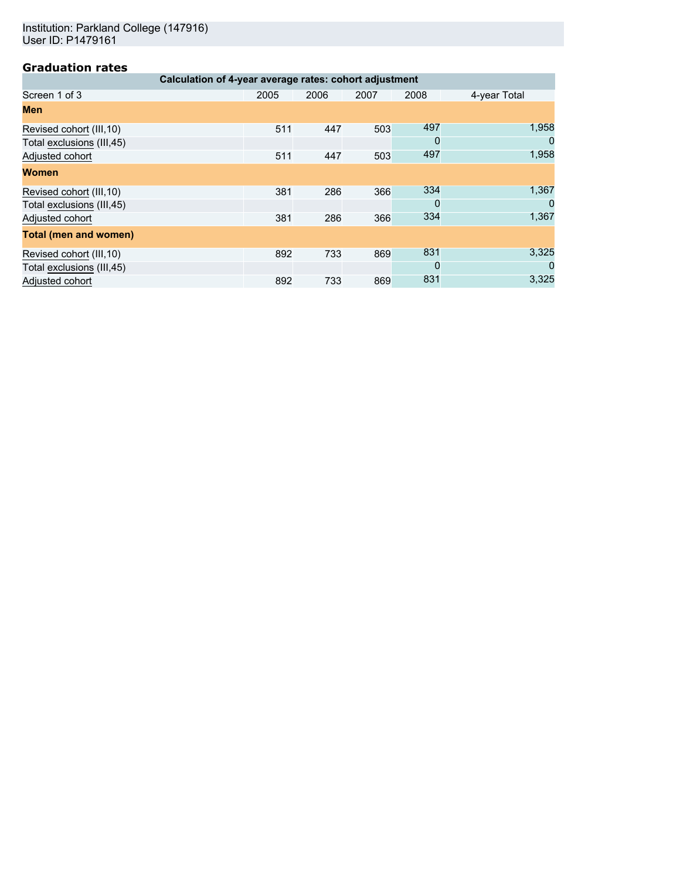Institution: Parkland College (147916) User ID: P1479161

| Calculation of 4-year average rates: cohort adjustment |      |      |      |      |              |  |  |  |
|--------------------------------------------------------|------|------|------|------|--------------|--|--|--|
| Screen 1 of 3                                          | 2005 | 2006 | 2007 | 2008 | 4-year Total |  |  |  |
| Men                                                    |      |      |      |      |              |  |  |  |
| Revised cohort (III, 10)                               | 511  | 447  | 503  | 497  | 1,958        |  |  |  |
| Total exclusions (III,45)                              |      |      |      | 0    | 0            |  |  |  |
| Adjusted cohort                                        | 511  | 447  | 503  | 497  | 1,958        |  |  |  |
| <b>Women</b>                                           |      |      |      |      |              |  |  |  |
| Revised cohort (III, 10)                               | 381  | 286  | 366  | 334  | 1,367        |  |  |  |
| Total exclusions (III,45)                              |      |      |      | 0    | 0            |  |  |  |
| Adjusted cohort                                        | 381  | 286  | 366  | 334  | 1,367        |  |  |  |
| <b>Total (men and women)</b>                           |      |      |      |      |              |  |  |  |
| Revised cohort (III, 10)                               | 892  | 733  | 869  | 831  | 3,325        |  |  |  |
| Total exclusions (III,45)                              |      |      |      | 0    | 0            |  |  |  |
| Adjusted cohort                                        | 892  | 733  | 869  | 831  | 3,325        |  |  |  |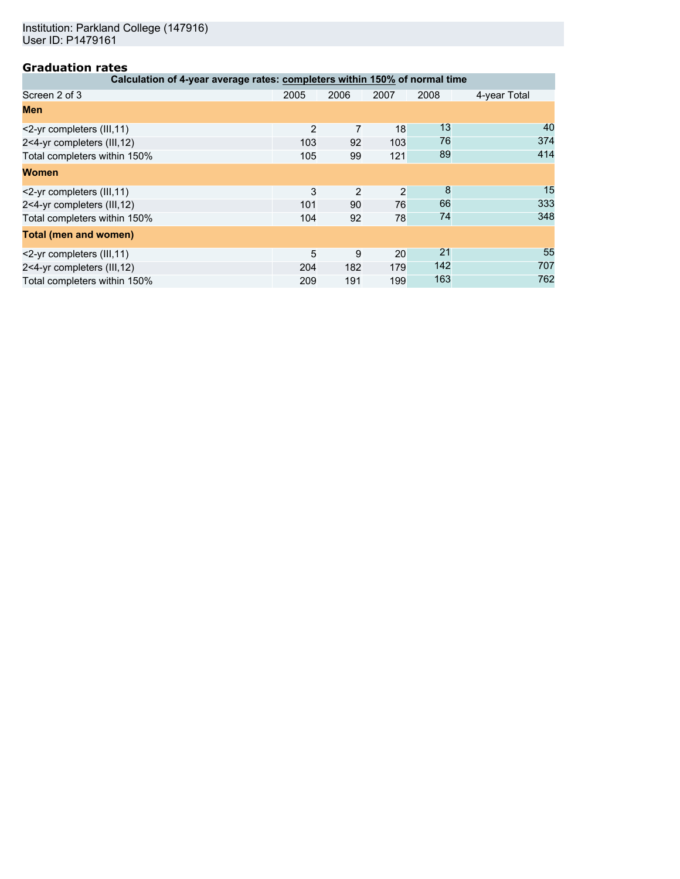| Calculation of 4-year average rates: completers within 150% of normal time |                |      |      |      |              |  |  |  |
|----------------------------------------------------------------------------|----------------|------|------|------|--------------|--|--|--|
| Screen 2 of 3                                                              | 2005           | 2006 | 2007 | 2008 | 4-year Total |  |  |  |
| Men                                                                        |                |      |      |      |              |  |  |  |
| <2-yr completers (III, 11)                                                 | $\overline{2}$ |      | 18   | 13   | 40           |  |  |  |
| 2<4-yr completers (III,12)                                                 | 103            | 92   | 103  | 76   | 374          |  |  |  |
| Total completers within 150%                                               | 105            | 99   | 121  | 89   | 414          |  |  |  |
| <b>Women</b>                                                               |                |      |      |      |              |  |  |  |
| <2-yr completers (III, 11)                                                 | 3              | 2    | 2    | 8    | 15           |  |  |  |
| 2<4-yr completers (III,12)                                                 | 101            | 90   | 76   | 66   | 333          |  |  |  |
| Total completers within 150%                                               | 104            | 92   | 78   | 74   | 348          |  |  |  |
| Total (men and women)                                                      |                |      |      |      |              |  |  |  |
| <2-yr completers (III, 11)                                                 | 5              | 9    | 20   | 21   | 55           |  |  |  |
| 2<4-yr completers (III,12)                                                 | 204            | 182  | 179  | 142  | 707          |  |  |  |
| Total completers within 150%                                               | 209            | 191  | 199  | 163  | 762          |  |  |  |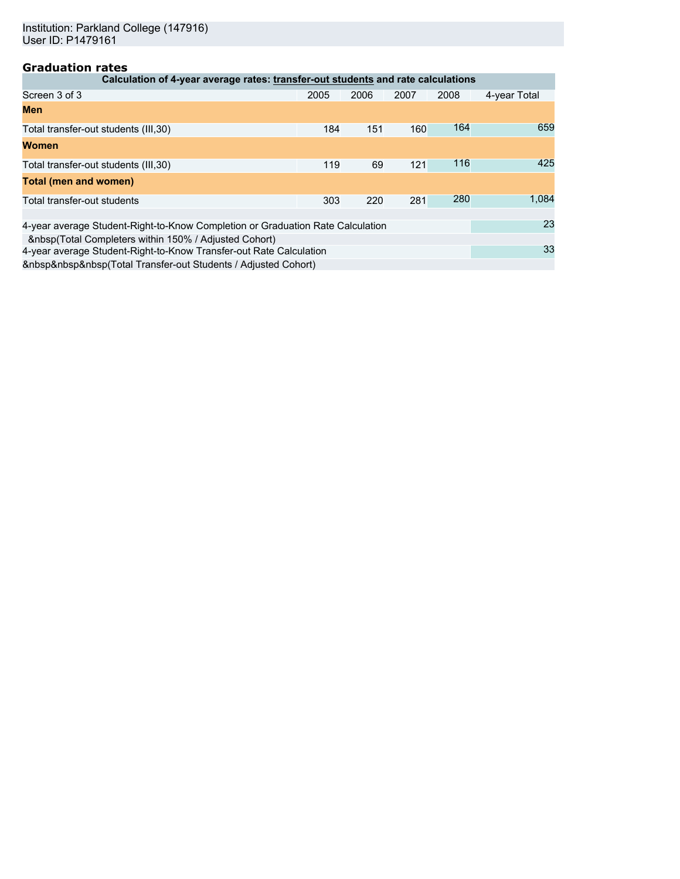| Calculation of 4-year average rates: transfer-out students and rate calculations |      |      |      |      |              |  |  |
|----------------------------------------------------------------------------------|------|------|------|------|--------------|--|--|
| Screen 3 of 3                                                                    | 2005 | 2006 | 2007 | 2008 | 4-year Total |  |  |
| <b>Men</b>                                                                       |      |      |      |      |              |  |  |
| Total transfer-out students (III, 30)                                            | 184  | 151  | 160  | 164  | 659          |  |  |
| <b>Women</b>                                                                     |      |      |      |      |              |  |  |
| Total transfer-out students (III, 30)                                            | 119  | 69   | 121  | 116  | 425          |  |  |
| <b>Total (men and women)</b>                                                     |      |      |      |      |              |  |  |
| Total transfer-out students                                                      | 303  | 220  | 281  | 280  | 1,084        |  |  |
|                                                                                  |      |      |      |      | 23           |  |  |
| 4-year average Student-Right-to-Know Completion or Graduation Rate Calculation   |      |      |      |      |              |  |  |
| (Total Completers within 150% / Adjusted Cohort)                                 |      |      |      |      | 33           |  |  |
| 4-year average Student-Right-to-Know Transfer-out Rate Calculation               |      |      |      |      |              |  |  |
| (Total Transfer-out Students / Adjusted Cohort)                                  |      |      |      |      |              |  |  |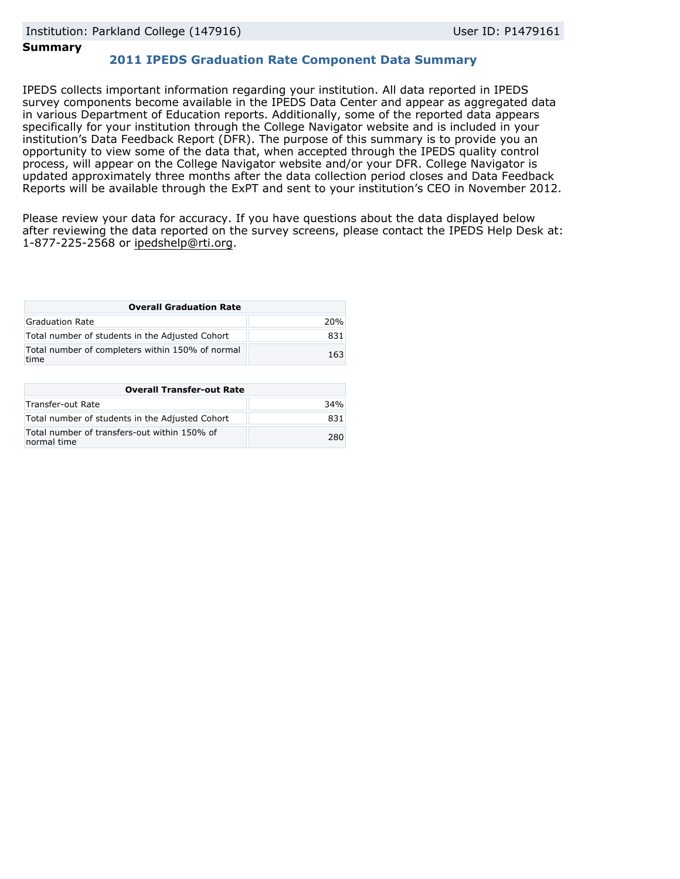## **Summary**

# **2011 IPEDS Graduation Rate Component Data Summary**

IPEDS collects important information regarding your institution. All data reported in IPEDS survey components become available in the IPEDS Data Center and appear as aggregated data in various Department of Education reports. Additionally, some of the reported data appears specifically for your institution through the College Navigator website and is included in your institution's Data Feedback Report (DFR). The purpose of this summary is to provide you an opportunity to view some of the data that, when accepted through the IPEDS quality control process, will appear on the College Navigator website and/or your DFR. College Navigator is updated approximately three months after the data collection period closes and Data Feedback Reports will be available through the ExPT and sent to your institution's CEO in November 2012.

Please review your data for accuracy. If you have questions about the data displayed below after reviewing the data reported on the survey screens, please contact the IPEDS Help Desk at: 1-877-225-2568 or ipedshelp@rti.org.

| <b>Overall Graduation Rate</b>                           |     |
|----------------------------------------------------------|-----|
| Graduation Rate                                          | 20% |
| Total number of students in the Adjusted Cohort          | 831 |
| Total number of completers within 150% of normal<br>time | 163 |

| <b>Overall Transfer-out Rate</b>                            |     |
|-------------------------------------------------------------|-----|
| Transfer-out Rate                                           | 34% |
| Total number of students in the Adjusted Cohort             | 831 |
| Total number of transfers-out within 150% of<br>normal time | 280 |